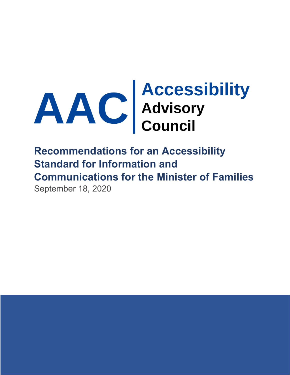

# **Recommendations for an Accessibility Standard for Information and Communications for the Minister of Families** September 18, 2020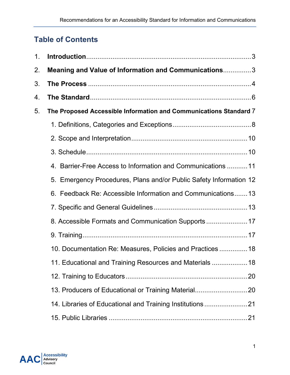## **Table of Contents**

| 1. |                                                                    |
|----|--------------------------------------------------------------------|
| 2. | Meaning and Value of Information and Communications3               |
| 3. |                                                                    |
| 4. |                                                                    |
| 5. | The Proposed Accessible Information and Communications Standard 7  |
|    |                                                                    |
|    |                                                                    |
|    |                                                                    |
|    | 4. Barrier-Free Access to Information and Communications 11        |
|    | 5. Emergency Procedures, Plans and/or Public Safety Information 12 |
|    | 6. Feedback Re: Accessible Information and Communications13        |
|    |                                                                    |
|    | 8. Accessible Formats and Communication Supports                   |
|    |                                                                    |
|    | 10. Documentation Re: Measures, Policies and Practices  18         |
|    | 11. Educational and Training Resources and Materials  18           |
|    |                                                                    |
|    | 13. Producers of Educational or Training Material20                |
|    | 14. Libraries of Educational and Training Institutions21           |
|    |                                                                    |

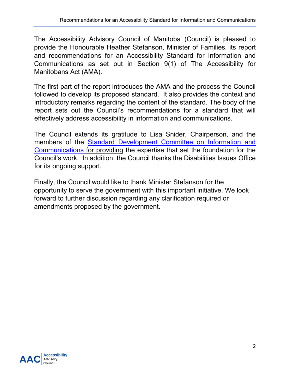The Accessibility Advisory Council of Manitoba (Council) is pleased to provide the Honourable Heather Stefanson, Minister of Families, its report and recommendations for an Accessibility Standard for Information and Communications as set out in Section 9(1) of The Accessibility for Manitobans Act (AMA).

The first part of the report introduces the AMA and the process the Council followed to develop its proposed standard. It also provides the context and introductory remarks regarding the content of the standard. The body of the report sets out the Council's recommendations for a standard that will effectively address accessibility in information and communications.

The Council extends its gratitude to Lisa Snider, Chairperson, and the members of the [Standard Development Committee on Information and](http://www.accessibilitymb.ca/pdf/information-and-communications-commitee-members.docx)  [Communications](http://www.accessibilitymb.ca/pdf/information-and-communications-commitee-members.docx) for providing the expertise that set the foundation for the Council's work. In addition, the Council thanks the Disabilities Issues Office for its ongoing support.

Finally, the Council would like to thank Minister Stefanson for the opportunity to serve the government with this important initiative. We look forward to further discussion regarding any clarification required or amendments proposed by the government.

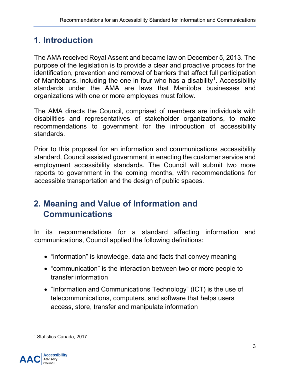## <span id="page-3-0"></span>**1. Introduction**

The AMA received Royal Assent and became law on December 5, 2013. The purpose of the legislation is to provide a clear and proactive process for the identification, prevention and removal of barriers that affect full participation of Manitobans, including the one in four who has a disability<sup>[1](#page-3-2)</sup>. Accessibility standards under the AMA are laws that Manitoba businesses and organizations with one or more employees must follow.

The AMA directs the Council, comprised of members are individuals with disabilities and representatives of stakeholder organizations, to make recommendations to government for the introduction of accessibility standards.

Prior to this proposal for an information and communications accessibility standard, Council assisted government in enacting the customer service and employment accessibility standards. The Council will submit two more reports to government in the coming months, with recommendations for accessible transportation and the design of public spaces.

## <span id="page-3-1"></span>**2. Meaning and Value of Information and Communications**

In its recommendations for a standard affecting information and communications, Council applied the following definitions:

- "information" is knowledge, data and facts that convey meaning
- "communication" is the interaction between two or more people to transfer information
- "Information and Communications Technology" (ICT) is the use of telecommunications, computers, and software that helps users access, store, transfer and manipulate information

<span id="page-3-2"></span> $\overline{a}$ <sup>1</sup> Statistics Canada, 2017

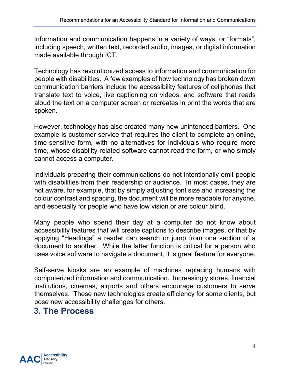Information and communication happens in a variety of ways, or "formats", including speech, written text, recorded audio, images, or digital information made available through ICT.

Technology has revolutionized access to information and communication for people with disabilities. A few examples of how technology has broken down communication barriers include the accessibility features of cellphones that translate text to voice, live captioning on videos, and software that reads aloud the text on a computer screen or recreates in print the words that are spoken.

However, technology has also created many new unintended barriers. One example is customer service that requires the client to complete an online, time-sensitive form, with no alternatives for individuals who require more time, whose disability-related software cannot read the form, or who simply cannot access a computer.

Individuals preparing their communications do not intentionally omit people with disabilities from their readership or audience. In most cases, they are not aware, for example, that by simply adjusting font size and increasing the colour contrast and spacing, the document will be more readable for anyone, and especially for people who have low vision or are colour blind.

Many people who spend their day at a computer do not know about accessibility features that will create captions to describe images, or that by applying "Headings" a reader can search or jump from one section of a document to another. While the latter function is critical for a person who uses voice software to navigate a document, it is great feature for everyone.

Self-serve kiosks are an example of machines replacing humans with computerized information and communication. Increasingly stores, financial institutions, cinemas, airports and others encourage customers to serve themselves. These new technologies create efficiency for some clients, but pose new accessibility challenges for others.

## <span id="page-4-0"></span>**3. The Process**

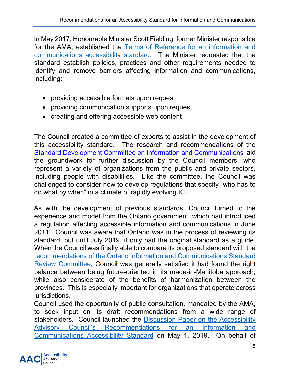In May 2017, Honourable Minister Scott Fielding, former Minister responsible for the AMA, established the [Terms of Reference for an information and](http://accessibilitymb.ca/pdf/terms-of-ref-info-and-comms.docx)  [communications accessibility standard.](http://accessibilitymb.ca/pdf/terms-of-ref-info-and-comms.docx) The Minister requested that the standard establish policies, practices and other requirements needed to identify and remove barriers affecting information and communications, including:

- providing accessible formats upon request
- providing communication supports upon request
- creating and offering accessible web content

The Council created a committee of experts to assist in the development of this accessibility standard. The research and recommendations of the [Standard Development Committee on Information and Communications](http://www.accessibilitymb.ca/pdf/information-and-communications-commitee-members.docx) laid the groundwork for further discussion by the Council members, who represent a variety of organizations from the public and private sectors, including people with disabilities. Like the committee, the Council was challenged to consider how to develop regulations that specify "who has to do what by when" in a climate of rapidly evolving ICT.

As with the development of previous standards, Council turned to the experience and model from the Ontario government, which had introduced a regulation affecting accessible information and communications in June 2011. Council was aware that Ontario was in the process of reviewing its standard, but until July 2019, it only had the original standard as a guide. When the Council was finally able to compare its proposed standard with the [recommendations of the Ontario Information and Communications Standard](https://www.ontario.ca/page/review-information-and-communications-standards-2019-initial-recommendations-report)  [Review Committee,](https://www.ontario.ca/page/review-information-and-communications-standards-2019-initial-recommendations-report) Council was generally satisfied it had found the right balance between being future-oriented in its made-in-Manitoba approach, while also considerate of the benefits of harmonization between the provinces. This is especially important for organizations that operate across jurisdictions.

Council used the opportunity of public consultation, mandated by the AMA, to seek input on its draft recommendations from a wide range of stakeholders. Council launched the **Discussion Paper on the Accessibility** [Advisory Council's Recommendations for an Information and](http://accessibilitymb.ca/standard-for-info-and-comms.html)  [Communications Accessibility Standard](http://accessibilitymb.ca/standard-for-info-and-comms.html) on May 1, 2019. On behalf of

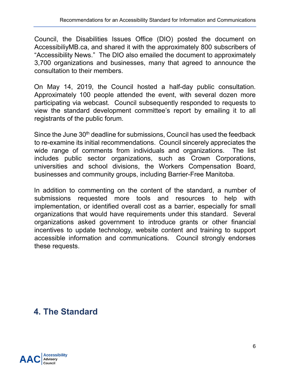Council, the Disabilities Issues Office (DIO) posted the document on AccessibiliyMB.ca, and shared it with the approximately 800 subscribers of "Accessibility News." The DIO also emailed the document to approximately 3,700 organizations and businesses, many that agreed to announce the consultation to their members.

On May 14, 2019, the Council hosted a half-day public consultation. Approximately 100 people attended the event, with several dozen more participating via webcast. Council subsequently responded to requests to view the standard development committee's report by emailing it to all registrants of the public forum.

Since the June 30<sup>th</sup> deadline for submissions, Council has used the feedback to re-examine its initial recommendations. Council sincerely appreciates the wide range of comments from individuals and organizations. The list includes public sector organizations, such as Crown Corporations, universities and school divisions, the Workers Compensation Board, businesses and community groups, including Barrier-Free Manitoba.

In addition to commenting on the content of the standard, a number of submissions requested more tools and resources to help with implementation, or identified overall cost as a barrier, especially for small organizations that would have requirements under this standard. Several organizations asked government to introduce grants or other financial incentives to update technology, website content and training to support accessible information and communications. Council strongly endorses these requests.

## <span id="page-6-0"></span>**4. The Standard**

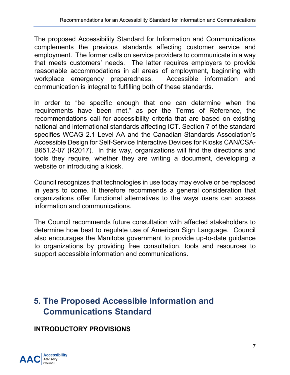The proposed Accessibility Standard for Information and Communications complements the previous standards affecting customer service and employment. The former calls on service providers to communicate in a way that meets customers' needs. The latter requires employers to provide reasonable accommodations in all areas of employment, beginning with workplace emergency preparedness. Accessible information and communication is integral to fulfilling both of these standards.

In order to "be specific enough that one can determine when the requirements have been met," as per the Terms of Reference, the recommendations call for accessibility criteria that are based on existing national and international standards affecting ICT. Section 7 of the standard specifies WCAG 2.1 Level AA and the Canadian Standards Association's Accessible Design for Self-Service Interactive Devices for Kiosks CAN/CSA-B651.2-07 (R2017). In this way, organizations will find the directions and tools they require, whether they are writing a document, developing a website or introducing a kiosk.

Council recognizes that technologies in use today may evolve or be replaced in years to come. It therefore recommends a general consideration that organizations offer functional alternatives to the ways users can access information and communications.

The Council recommends future consultation with affected stakeholders to determine how best to regulate use of American Sign Language. Council also encourages the Manitoba government to provide up-to-date guidance to organizations by providing free consultation, tools and resources to support accessible information and communications.

## <span id="page-7-0"></span>**5. The Proposed Accessible Information and Communications Standard**

## **INTRODUCTORY PROVISIONS**

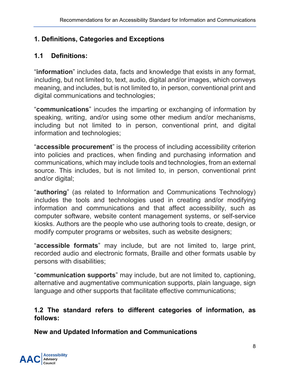## <span id="page-8-0"></span>**1. Definitions, Categories and Exceptions**

## **1.1 Definitions:**

"**information**" includes data, facts and knowledge that exists in any format, including, but not limited to, text, audio, digital and/or images, which conveys meaning, and includes, but is not limited to, in person, conventional print and digital communications and technologies;

"**communications**" incudes the imparting or exchanging of information by speaking, writing, and/or using some other medium and/or mechanisms, including but not limited to in person, conventional print, and digital information and technologies;

"**accessible procurement**" is the process of including accessibility criterion into policies and practices, when finding and purchasing information and communications, which may include tools and technologies, from an external source. This includes, but is not limited to, in person, conventional print and/or digital;

"**authoring**" (as related to Information and Communications Technology) includes the tools and technologies used in creating and/or modifying information and communications and that affect accessibility, such as computer software, website content management systems, or self-service kiosks. Authors are the people who use authoring tools to create, design, or modify computer programs or websites, such as website designers;

"**accessible formats**" may include, but are not limited to, large print, recorded audio and electronic formats, Braille and other formats usable by persons with disabilities;

"**communication supports**" may include, but are not limited to, captioning, alternative and augmentative communication supports, plain language, sign language and other supports that facilitate effective communications;

#### **1.2 The standard refers to different categories of information, as follows:**

**New and Updated Information and Communications**

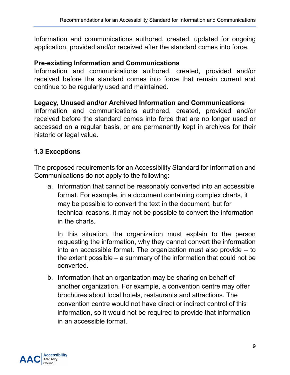Information and communications authored, created, updated for ongoing application, provided and/or received after the standard comes into force.

#### **Pre-existing Information and Communications**

Information and communications authored, created, provided and/or received before the standard comes into force that remain current and continue to be regularly used and maintained.

#### **Legacy, Unused and/or Archived Information and Communications**

Information and communications authored, created, provided and/or received before the standard comes into force that are no longer used or accessed on a regular basis, or are permanently kept in archives for their historic or legal value.

#### **1.3 Exceptions**

The proposed requirements for an Accessibility Standard for Information and Communications do not apply to the following:

a. Information that cannot be reasonably converted into an accessible format. For example, in a document containing complex charts, it may be possible to convert the text in the document, but for technical reasons, it may not be possible to convert the information in the charts.

In this situation, the organization must explain to the person requesting the information, why they cannot convert the information into an accessible format. The organization must also provide – to the extent possible – a summary of the information that could not be converted.

b. Information that an organization may be sharing on behalf of another organization. For example, a convention centre may offer brochures about local hotels, restaurants and attractions. The convention centre would not have direct or indirect control of this information, so it would not be required to provide that information in an accessible format.

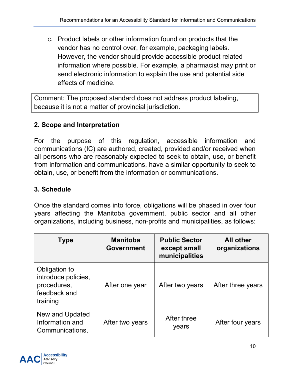c. Product labels or other information found on products that the vendor has no control over, for example, packaging labels. However, the vendor should provide accessible product related information where possible. For example, a pharmacist may print or send electronic information to explain the use and potential side effects of medicine.

Comment: The proposed standard does not address product labeling, because it is not a matter of provincial jurisdiction.

## <span id="page-10-0"></span>**2. Scope and Interpretation**

For the purpose of this regulation, accessible information and communications (IC) are authored, created, provided and/or received when all persons who are reasonably expected to seek to obtain, use, or benefit from information and communications, have a similar opportunity to seek to obtain, use, or benefit from the information or communications.

## <span id="page-10-1"></span>**3. Schedule**

Once the standard comes into force, obligations will be phased in over four years affecting the Manitoba government, public sector and all other organizations, including business, non-profits and municipalities, as follows:

| <b>Type</b>                                                                     | <b>Manitoba</b><br><b>Government</b> | <b>Public Sector</b><br>except small<br>municipalities | <b>All other</b><br>organizations |
|---------------------------------------------------------------------------------|--------------------------------------|--------------------------------------------------------|-----------------------------------|
| Obligation to<br>introduce policies,<br>procedures,<br>feedback and<br>training | After one year                       | After two years                                        | After three years                 |
| New and Updated<br>Information and<br>Communications,                           | After two years                      | After three<br>years                                   | After four years                  |

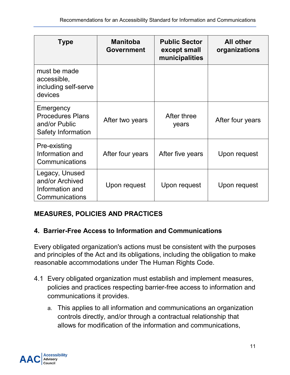| <b>Type</b>                                                                        | <b>Manitoba</b><br><b>Government</b> | <b>Public Sector</b><br>except small<br>municipalities | <b>All other</b><br>organizations |
|------------------------------------------------------------------------------------|--------------------------------------|--------------------------------------------------------|-----------------------------------|
| must be made<br>accessible,<br>including self-serve<br>devices                     |                                      |                                                        |                                   |
| Emergency<br><b>Procedures Plans</b><br>and/or Public<br><b>Safety Information</b> | After two years                      | After three<br>years                                   | After four years                  |
| Pre-existing<br>Information and<br>Communications                                  | After four years                     | After five years                                       | Upon request                      |
| Legacy, Unused<br>and/or Archived<br>Information and<br>Communications             | Upon request                         | Upon request                                           | Upon request                      |

## **MEASURES, POLICIES AND PRACTICES**

#### <span id="page-11-0"></span>**4. Barrier-Free Access to Information and Communications**

Every obligated organization's actions must be consistent with the purposes and principles of the Act and its obligations, including the obligation to make reasonable accommodations under The Human Rights Code.

- 4.1 Every obligated organization must establish and implement measures, policies and practices respecting barrier-free access to information and communications it provides.
	- a. This applies to all information and communications an organization controls directly, and/or through a contractual relationship that allows for modification of the information and communications,

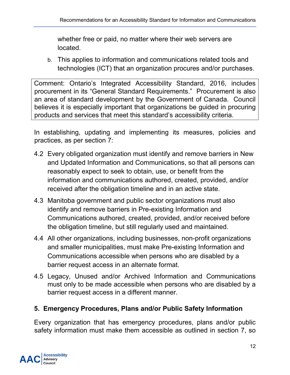whether free or paid, no matter where their web servers are located.

b. This applies to information and communications related tools and technologies (ICT) that an organization procures and/or purchases.

Comment: Ontario's Integrated Accessibility Standard, 2016, includes procurement in its "General Standard Requirements." Procurement is also an area of standard development by the Government of Canada. Council believes it is especially important that organizations be guided in procuring products and services that meet this standard's accessibility criteria.

In establishing, updating and implementing its measures, policies and practices, as per section 7:

- 4.2 Every obligated organization must identify and remove barriers in New and Updated Information and Communications, so that all persons can reasonably expect to seek to obtain, use, or benefit from the information and communications authored, created, provided, and/or received after the obligation timeline and in an active state.
- 4.3 Manitoba government and public sector organizations must also identify and remove barriers in Pre-existing Information and Communications authored, created, provided, and/or received before the obligation timeline, but still regularly used and maintained.
- 4.4 All other organizations, including businesses, non-profit organizations and smaller municipalities, must make Pre-existing Information and Communications accessible when persons who are disabled by a barrier request access in an alternate format.
- 4.5 Legacy, Unused and/or Archived Information and Communications must only to be made accessible when persons who are disabled by a barrier request access in a different manner.

## <span id="page-12-0"></span>**5. Emergency Procedures, Plans and/or Public Safety Information**

Every organization that has emergency procedures, plans and/or public safety information must make them accessible as outlined in section 7, so

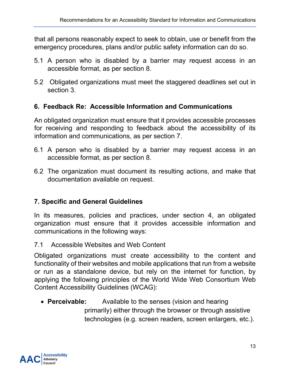that all persons reasonably expect to seek to obtain, use or benefit from the emergency procedures, plans and/or public safety information can do so.

- 5.1 A person who is disabled by a barrier may request access in an accessible format, as per section 8.
- 5.2 Obligated organizations must meet the staggered deadlines set out in section 3.

#### <span id="page-13-0"></span>**6. Feedback Re: Accessible Information and Communications**

An obligated organization must ensure that it provides accessible processes for receiving and responding to feedback about the accessibility of its information and communications, as per section 7.

- 6.1 A person who is disabled by a barrier may request access in an accessible format, as per section 8.
- 6.2 The organization must document its resulting actions, and make that documentation available on request.

## <span id="page-13-1"></span>**7. Specific and General Guidelines**

In its measures, policies and practices, under section 4, an obligated organization must ensure that it provides accessible information and communications in the following ways:

7.1 Accessible Websites and Web Content

Obligated organizations must create accessibility to the content and functionality of their websites and mobile applications that run from a website or run as a standalone device, but rely on the internet for function, by applying the following principles of the World Wide Web Consortium [Web](https://www.w3.org/WAI/standards-guidelines/wcag/)  [Content Accessibility Guidelines \(WCAG\):](https://www.w3.org/WAI/standards-guidelines/wcag/)

• **[Perceivable:](https://webaim.org/articles/pour/perceivable)** Available to the senses (vision and hearing primarily) either through the browser or through assistive technologies (e.g. screen readers, screen enlargers, etc.).

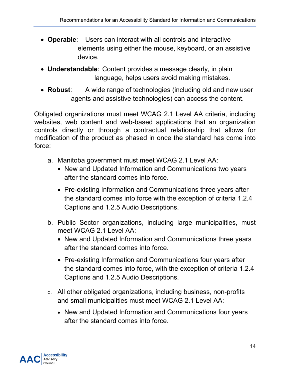- **[Operable](https://webaim.org/articles/pour/operable)**: Users can interact with all controls and interactive elements using either the mouse, keyboard, or an assistive device.
- **[Understandable](https://webaim.org/articles/pour/understandable)**: Content provides a message clearly, in plain language, helps users avoid making mistakes.
- **[Robust](https://webaim.org/articles/pour/robust)**: A wide range of technologies (including old and new user agents and assistive technologies) can access the content.

Obligated organizations must meet WCAG 2.1 Level AA criteria, including websites, web content and web-based applications that an organization controls directly or through a contractual relationship that allows for modification of the product as phased in once the standard has come into force:

- a. Manitoba government must meet WCAG 2.1 Level AA:
	- New and Updated Information and Communications two years after the standard comes into force.
	- Pre-existing Information and Communications three years after the standard comes into force with the exception of criteria 1.2.4 Captions and 1.2.5 Audio Descriptions.
- b. Public Sector organizations, including large municipalities, must meet WCAG 2.1 Level AA:
	- New and Updated Information and Communications three years after the standard comes into force.
	- Pre-existing Information and Communications four years after the standard comes into force, with the exception of criteria 1.2.4 Captions and 1.2.5 Audio Descriptions.
- c. All other obligated organizations, including business, non-profits and small municipalities must meet WCAG 2.1 Level AA:
	- New and Updated Information and Communications four years after the standard comes into force.

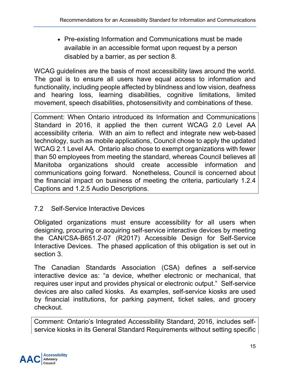• Pre-existing Information and Communications must be made available in an accessible format upon request by a person disabled by a barrier, as per section 8.

WCAG guidelines are the basis of most accessibility laws around the world. The goal is to ensure all users have equal access to information and functionality, including people affected by blindness and low vision, deafness and hearing loss, learning disabilities, cognitive limitations, limited movement, speech disabilities, photosensitivity and combinations of these.

Comment: When Ontario introduced its Information and Communications Standard in 2016, it applied the then current WCAG 2.0 Level AA accessibility criteria. With an aim to reflect and integrate new web-based technology, such as mobile applications, Council chose to apply the updated WCAG 2.1 Level AA. Ontario also chose to exempt organizations with fewer than 50 employees from meeting the standard, whereas Council believes all Manitoba organizations should create accessible information and communications going forward. Nonetheless, Council is concerned about the financial impact on business of meeting the criteria, particularly 1.2.4 Captions and 1.2.5 Audio Descriptions.

## 7.2 Self-Service Interactive Devices

Obligated organizations must ensure accessibility for all users when designing, procuring or acquiring self-service interactive devices by meeting the CAN/CSA-B651.2-07 (R2017) Accessible Design for Self-Service Interactive Devices. The phased application of this obligation is set out in section 3.

The Canadian Standards Association (CSA) defines a self-service interactive device as: "a device, whether electronic or mechanical, that requires user input and provides physical or electronic output." Self-service devices are also called kiosks. As examples, self-service kiosks are used by financial institutions, for parking payment, ticket sales, and grocery checkout.

Comment: Ontario's Integrated Accessibility Standard, 2016, includes selfservice kiosks in its General Standard Requirements without setting specific

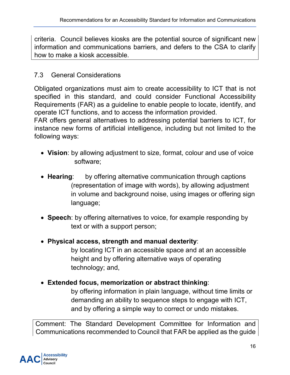criteria. Council believes kiosks are the potential source of significant new information and communications barriers, and defers to the CSA to clarify how to make a kiosk accessible.

## 7.3 General Considerations

Obligated organizations must aim to create accessibility to ICT that is not specified in this standard, and could consider [Functional Accessibility](http://mandate376.standards.eu/standard/functional-statements)  [Requirements](http://mandate376.standards.eu/standard/functional-statements) (FAR) as a guideline to enable people to locate, identify, and operate ICT functions, and to access the information provided.

FAR offers general alternatives to addressing potential barriers to ICT, for instance new forms of artificial intelligence, including but not limited to the following ways:

- **Vision**: by allowing adjustment to size, format, colour and use of voice software;
- **Hearing**: by offering alternative communication through captions (representation of image with words), by allowing adjustment in volume and background noise, using images or offering sign language;
- **Speech**: by offering alternatives to voice, for example responding by text or with a support person;
- **Physical access, strength and manual dexterity**:

by locating ICT in an accessible space and at an accessible height and by offering alternative ways of operating technology; and,

• **Extended focus, memorization or abstract thinking**:

by offering information in plain language, without time limits or demanding an ability to sequence steps to engage with ICT, and by offering a simple way to correct or undo mistakes.

Comment: The Standard Development Committee for Information and Communications recommended to Council that FAR be applied as the guide

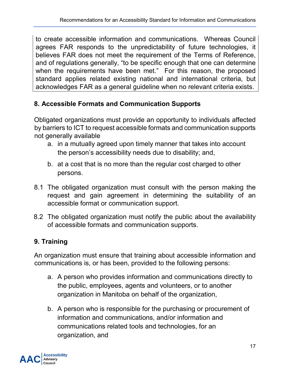to create accessible information and communications. Whereas Council agrees FAR responds to the unpredictability of future technologies, it believes FAR does not meet the requirement of the Terms of Reference, and of regulations generally, "to be specific enough that one can determine when the requirements have been met." For this reason, the proposed standard applies related existing national and international criteria, but acknowledges FAR as a general guideline when no relevant criteria exists.

## <span id="page-17-0"></span>**8. Accessible Formats and Communication Supports**

Obligated organizations must provide an opportunity to individuals affected by barriers to ICT to request accessible formats and communication supports not generally available

- a. in a mutually agreed upon timely manner that takes into account the person's accessibility needs due to disability; and,
- b. at a cost that is no more than the regular cost charged to other persons.
- 8.1 The obligated organization must consult with the person making the request and gain agreement in determining the suitability of an accessible format or communication support.
- 8.2 The obligated organization must notify the public about the availability of accessible formats and communication supports.

## <span id="page-17-1"></span>**9. Training**

An organization must ensure that training about accessible information and communications is, or has been, provided to the following persons:

- a. A person who provides information and communications directly to the public, employees, agents and volunteers, or to another organization in Manitoba on behalf of the organization,
- b. A person who is responsible for the purchasing or procurement of information and communications, and/or information and communications related tools and technologies, for an organization, and

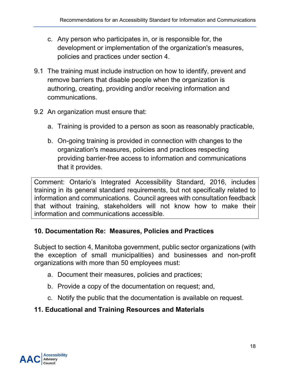- c. Any person who participates in, or is responsible for, the development or implementation of the organization's measures, policies and practices under section 4.
- 9.1 The training must include instruction on how to identify, prevent and remove barriers that disable people when the organization is authoring, creating, providing and/or receiving information and communications.
- 9.2 An organization must ensure that:
	- a. Training is provided to a person as soon as reasonably practicable,
	- b. On-going training is provided in connection with changes to the organization's measures, policies and practices respecting providing barrier-free access to information and communications that it provides.

Comment: Ontario's Integrated Accessibility Standard, 2016, includes training in its general standard requirements, but not specifically related to information and communications. Council agrees with consultation feedback that without training, stakeholders will not know how to make their information and communications accessible.

## <span id="page-18-0"></span>**10. Documentation Re: Measures, Policies and Practices**

Subject to section 4, Manitoba government, public sector organizations (with the exception of small municipalities) and businesses and non-profit organizations with more than 50 employees must:

- a. Document their measures, policies and practices;
- b. Provide a copy of the documentation on request; and,
- c. Notify the public that the documentation is available on request.

## <span id="page-18-1"></span>**11. Educational and Training Resources and Materials**

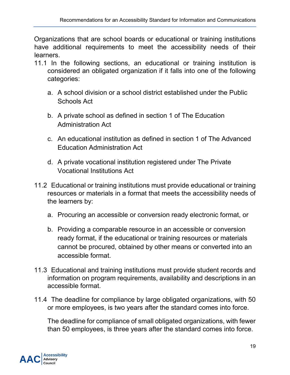Organizations that are school boards or educational or training institutions have additional requirements to meet the accessibility needs of their learners.

- 11.1 In the following sections, an educational or training institution is considered an obligated organization if it falls into one of the following categories:
	- a. A school division or a school district established under the Public Schools Act
	- b. A private school as defined in section 1 of The Education Administration Act
	- c. An educational institution as defined in section 1 of The Advanced Education Administration Act
	- d. A private vocational institution registered under The Private Vocational Institutions Act
- 11.2 Educational or training institutions must provide educational or training resources or materials in a format that meets the accessibility needs of the learners by:
	- a. Procuring an accessible or conversion ready electronic format, or
	- b. Providing a comparable resource in an accessible or conversion ready format, if the educational or training resources or materials cannot be procured, obtained by other means or converted into an accessible format.
- 11.3 Educational and training institutions must provide student records and information on program requirements, availability and descriptions in an accessible format.
- 11.4 The deadline for compliance by large obligated organizations, with 50 or more employees, is two years after the standard comes into force.

The deadline for compliance of small obligated organizations, with fewer than 50 employees, is three years after the standard comes into force.

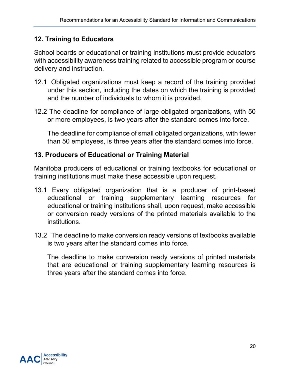### <span id="page-20-0"></span>**12. Training to Educators**

School boards or educational or training institutions must provide educators with accessibility awareness training related to accessible program or course delivery and instruction.

- 12.1 Obligated organizations must keep a record of the training provided under this section, including the dates on which the training is provided and the number of individuals to whom it is provided.
- 12.2 The deadline for compliance of large obligated organizations, with 50 or more employees, is two years after the standard comes into force.

The deadline for compliance of small obligated organizations, with fewer than 50 employees, is three years after the standard comes into force.

#### <span id="page-20-1"></span>**13. Producers of Educational or Training Material**

Manitoba producers of educational or training textbooks for educational or training institutions must make these accessible upon request.

- 13.1 Every obligated organization that is a producer of print-based educational or training supplementary learning resources for educational or training institutions shall, upon request, make accessible or conversion ready versions of the printed materials available to the institutions.
- 13.2 The deadline to make conversion ready versions of textbooks available is two years after the standard comes into force.

The deadline to make conversion ready versions of printed materials that are educational or training supplementary learning resources is three years after the standard comes into force.

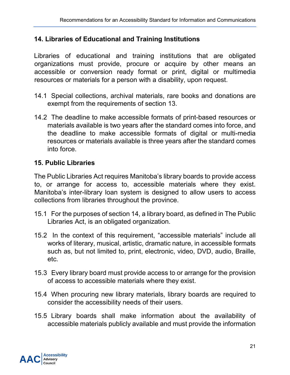#### <span id="page-21-0"></span>**14. Libraries of Educational and Training Institutions**

Libraries of educational and training institutions that are obligated organizations must provide, procure or acquire by other means an accessible or conversion ready format or print, digital or multimedia resources or materials for a person with a disability, upon request.

- 14.1 Special collections, archival materials, rare books and donations are exempt from the requirements of section 13.
- 14.2 The deadline to make accessible formats of print-based resources or materials available is two years after the standard comes into force, and the deadline to make accessible formats of digital or multi-media resources or materials available is three years after the standard comes into force.

#### <span id="page-21-1"></span>**15. Public Libraries**

The Public Libraries Act requires Manitoba's library boards to provide access to, or arrange for access to, accessible materials where they exist. Manitoba's inter-library loan system is designed to allow users to access collections from libraries throughout the province.

- 15.1 For the purposes of section 14, a library board, as defined in The Public Libraries Act, is an obligated organization.
- 15.2 In the context of this requirement, "accessible materials" include all works of literary, musical, artistic, dramatic nature, in accessible formats such as, but not limited to, print, electronic, video, DVD, audio, Braille, etc.
- 15.3 Every library board must provide access to or arrange for the provision of access to accessible materials where they exist.
- 15.4 When procuring new library materials, library boards are required to consider the accessibility needs of their users.
- 15.5 Library boards shall make information about the availability of accessible materials publicly available and must provide the information